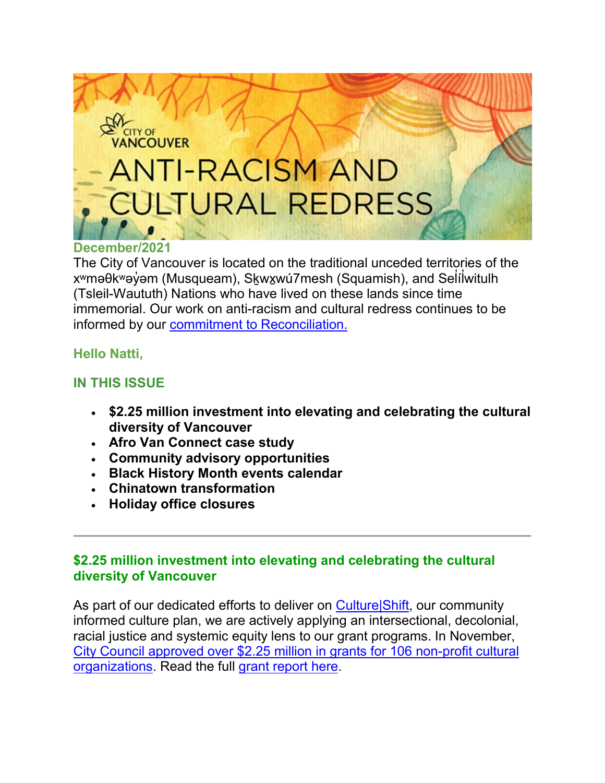

#### **December/2021**

The City of Vancouver is located on the traditional unceded territories of the xʷməθkʷəỷəm (Musqueam), S<u>k</u>wx̯wú7mesh (Squamish), and Seĺílwitulh ̓ ̓ (Tsleil-Waututh) Nations who have lived on these lands since time immemorial. Our work on anti-racism and cultural redress continues to be informed by our [commitment to Reconciliation.](http://list.vancouver.ca/t/506115/1143027/5815/2/)

#### **Hello Natti,**

#### **IN THIS ISSUE**

- **\$2.25 million investment into elevating and celebrating the cultural diversity of Vancouver**
- **Afro Van Connect case study**
- **Community advisory opportunities**
- **Black History Month events calendar**
- **Chinatown transformation**
- **Holiday office closures**

### **\$2.25 million investment into elevating and celebrating the cultural diversity of Vancouver**

As part of our dedicated efforts to deliver on Culture Shift, our community informed culture plan, we are actively applying an intersectional, decolonial, racial justice and systemic equity lens to our grant programs. In November, [City Council approved over \\$2.25 million in grants for 106 non](http://list.vancouver.ca/t/506115/1143027/11750/31/)-profit cu[ltural](http://list.vancouver.ca/t/506115/1143027/11750/31/)  [organizations.](http://list.vancouver.ca/t/506115/1143027/11750/32/) Read the full [grant report here.](http://list.vancouver.ca/t/506115/1143027/11875/33/)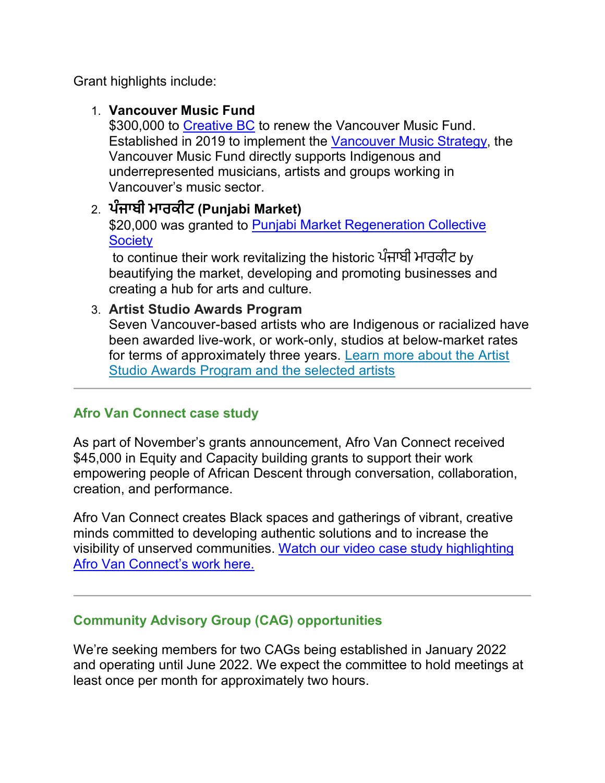Grant highlights include:

### 1. **Vancouver Music Fund**

\$300,000 to Creative BC to renew the Vancouver Music Fund. Established in 2019 to implement the Vancouver Music Strategy, the Vancouver Music Fund directly supports Indigenous and underrepresented musicians, artists and groups working in Vancouver's music sector.

# 2. **ਪੰਜਾਬੀ ਮਾਰਕੀਟ (Punjabi Market)**

\$20,000 was granted to Punjabi Market Regeneration Collective **Society** 

to continue their work revitalizing the historic ਪੰਜਾਬੀ ਮਾਰਕੀਟ by beautifying the market, developing and promoting businesses and creating a hub for arts and culture.

#### 3. **Artist Studio Awards Program**

Seven Vancouver-based artists who are Indigenous or racialized have been awarded live-work, or work-only, studios at below-market rates for terms of approximately three years. Learn more about the Artist Studio Awards Program and the selected artists

#### **Afro Van Connect case study**

As part of November's grants announcement, Afro Van Connect received \$45,000 in Equity and Capacity building grants to support their work empowering people of African Descent through conversation, collaboration, creation, and performance.

Afro Van Connect creates Black spaces and gatherings of vibrant, creative minds committed to developing authentic solutions and to increase the visibility of unserved communities. [Watch our video case study highlighting](http://list.vancouver.ca/t/506115/1143027/11878/34/)  [Afro Van Connect's work here.](http://list.vancouver.ca/t/506115/1143027/11878/34/)

# **Community Advisory Group (CAG) opportunities**

We're seeking members for two CAGs being established in January 2022 and operating until June 2022. We expect the committee to hold meetings at least once per month for approximately two hours.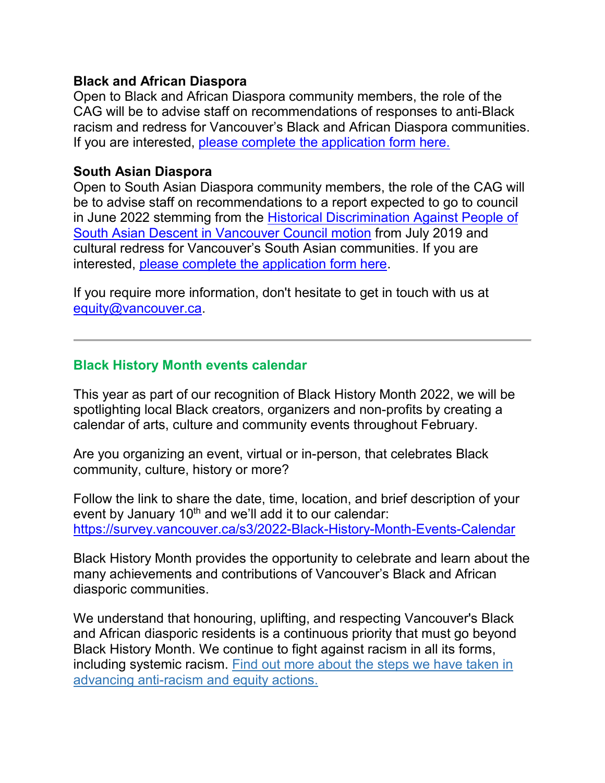#### **Black and African Diaspora**

Open to Black and African Diaspora community members, the role of the CAG will be to advise staff on recommendations of responses to anti-Black racism and redress for Vancouver's Black and African Diaspora communities. If you are interested, [please complete the application form here.](http://list.vancouver.ca/t/506115/1143027/11879/35/)

#### **South Asian Diaspora**

Open to South Asian Diaspora community members, the role of the CAG will be to advise staff on recommendations to a report expected to go to council in June 2022 stemming from the [Historical Discrimination Against People of](http://list.vancouver.ca/t/506115/1143027/11880/36/)  [South Asian Descent in Vancouver Council motion](http://list.vancouver.ca/t/506115/1143027/11880/36/) from July 2019 and cultural redress for Vancouver's South Asian communities. If you are interested, [please complete the application form here.](http://list.vancouver.ca/t/506115/1143027/11881/37/)

If you require more information, don't hesitate to get in touch with us at equity@vancouver.ca.

### **Black History Month events calendar**

This year as part of our recognition of Black History Month 2022, we will be spotlighting local Black creators, organizers and non-profits by creating a calendar of arts, culture and community events throughout February.

Are you organizing an event, virtual or in-person, that celebrates Black community, culture, history or more?

Follow the link to share the date, time, location, and brief description of your event by January  $10<sup>th</sup>$  and we'll add it to our calendar: [https://survey.vancouver.ca/s3/2022](http://list.vancouver.ca/t/506115/1143027/11874/38/)-Black-History-Month-Events-Calendar

Black History Month provides the opportunity to celebrate and learn about the many achievements and contributions of Vancouver's Black and African diasporic communities.

We understand that honouring, uplifting, and respecting Vancouver's Black and African diasporic residents is a continuous priority that must go beyond Black History Month. We continue to fight against racism in all its forms, including systemic racism. [Find out more about the steps we have taken in](http://list.vancouver.ca/t/506115/1143027/10690/39/)  advancing anti-[racism and equity actions.](http://list.vancouver.ca/t/506115/1143027/10690/39/)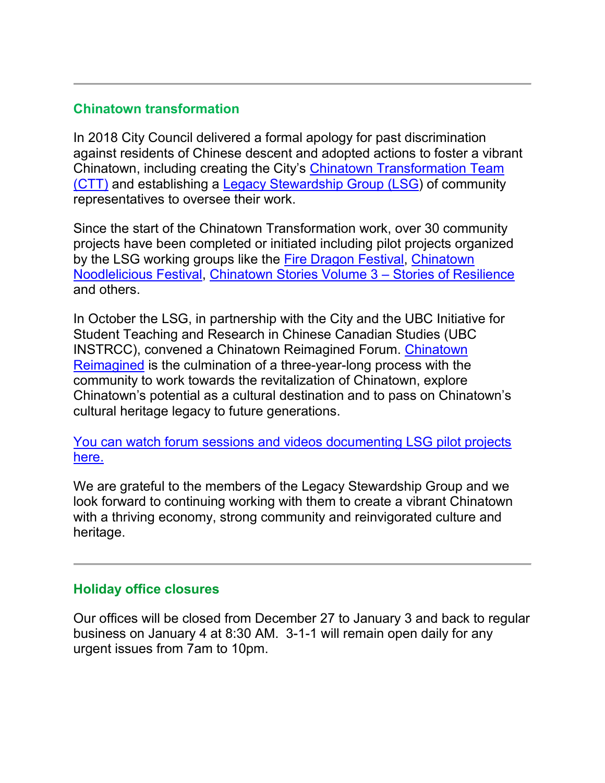# **Chinatown transformation**

In 2018 City Council delivered a formal apology for past discrimination against residents of Chinese descent and adopted actions to foster a vibrant Chinatown, including creating the City's [Chinatown Transformation Team](http://list.vancouver.ca/t/506115/1143027/11882/40/)  [\(CTT\)](http://list.vancouver.ca/t/506115/1143027/11882/40/) and establishing a [Legacy Stewardship Group \(LSG\)](http://list.vancouver.ca/t/506115/1143027/11883/41/) of community representatives to oversee their work.

Since the start of the Chinatown Transformation work, over 30 community projects have been completed or initiated including pilot projects organized by the LSG working groups like the [Fire Dragon Festival,](http://list.vancouver.ca/t/506115/1143027/11316/42/) [Chinatown](http://list.vancouver.ca/t/506115/1143027/11884/43/)  [Noodlelicious Festival,](http://list.vancouver.ca/t/506115/1143027/11884/43/) [Chinatown Stories Volume 3](http://list.vancouver.ca/t/506115/1143027/10541/44/) – Stories of Resilience and others.

In October the LSG, in partnership with the City and the UBC Initiative for Student Teaching and Research in Chinese Canadian Studies (UBC INSTRCC), convened a Chinatown Reimagined Forum. [Chinatown](http://list.vancouver.ca/t/506115/1143027/11488/45/)  [Reimagined](http://list.vancouver.ca/t/506115/1143027/11488/45/) is the culmination of a three-year-long process with the community to work towards the revitalization of Chinatown, explore Chinatown's potential as a cultural destination and to pass on Chinatown's cultural heritage legacy to future generations.

[You can watch forum sessions and videos documenting LSG pilot projects](http://list.vancouver.ca/t/506115/1143027/11885/46/)  [here.](http://list.vancouver.ca/t/506115/1143027/11885/46/)

We are grateful to the members of the Legacy Stewardship Group and we look forward to continuing working with them to create a vibrant Chinatown with a thriving economy, strong community and reinvigorated culture and heritage.

#### **Holiday office closures**

Our offices will be closed from December 27 to January 3 and back to regular business on January 4 at 8:30 AM. 3-1-1 will remain open daily for any urgent issues from 7am to 10pm.